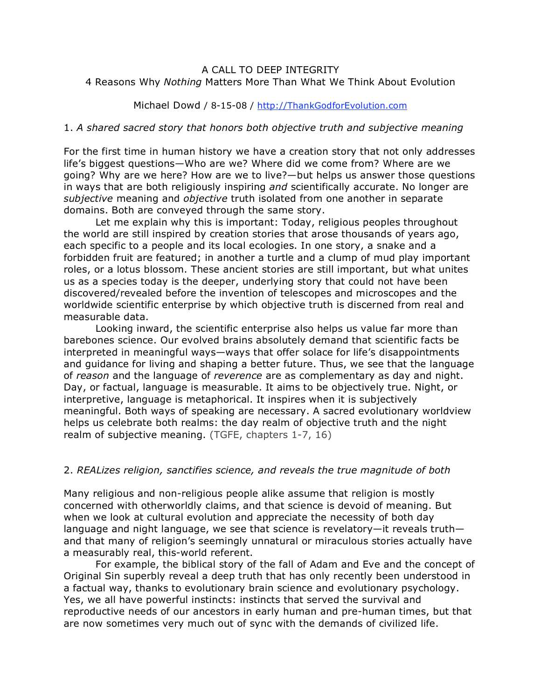# A CALL TO DEEP INTEGRITY 4 Reasons Why *Nothing* Matters More Than What We Think About Evolution

### Michael Dowd / 8-15-08 / http://ThankGodforEvolution.com

#### 1. *A shared sacred story that honors both objective truth and subjective meaning*

For the first time in human history we have a creation story that not only addresses life's biggest questions—Who are we? Where did we come from? Where are we going? Why are we here? How are we to live?—but helps us answer those questions in ways that are both religiously inspiring *and* scientifically accurate. No longer are *subjective* meaning and *objective* truth isolated from one another in separate domains. Both are conveyed through the same story.

Let me explain why this is important: Today, religious peoples throughout the world are still inspired by creation stories that arose thousands of years ago, each specific to a people and its local ecologies. In one story, a snake and a forbidden fruit are featured; in another a turtle and a clump of mud play important roles, or a lotus blossom. These ancient stories are still important, but what unites us as a species today is the deeper, underlying story that could not have been discovered/revealed before the invention of telescopes and microscopes and the worldwide scientific enterprise by which objective truth is discerned from real and measurable data.

Looking inward, the scientific enterprise also helps us value far more than barebones science. Our evolved brains absolutely demand that scientific facts be interpreted in meaningful ways—ways that offer solace for life's disappointments and guidance for living and shaping a better future. Thus, we see that the language of *reason* and the language of *reverence* are as complementary as day and night. Day, or factual, language is measurable. It aims to be objectively true. Night, or interpretive, language is metaphorical. It inspires when it is subjectively meaningful. Both ways of speaking are necessary. A sacred evolutionary worldview helps us celebrate both realms: the day realm of objective truth and the night realm of subjective meaning. (TGFE, chapters 1-7, 16)

## 2. *REALizes religion, sanctifies science, and reveals the true magnitude of both*

Many religious and non-religious people alike assume that religion is mostly concerned with otherworldly claims, and that science is devoid of meaning. But when we look at cultural evolution and appreciate the necessity of both day language and night language, we see that science is revelatory—it reveals truth and that many of religion's seemingly unnatural or miraculous stories actually have a measurably real, this-world referent.

For example, the biblical story of the fall of Adam and Eve and the concept of Original Sin superbly reveal a deep truth that has only recently been understood in a factual way, thanks to evolutionary brain science and evolutionary psychology. Yes, we all have powerful instincts: instincts that served the survival and reproductive needs of our ancestors in early human and pre-human times, but that are now sometimes very much out of sync with the demands of civilized life.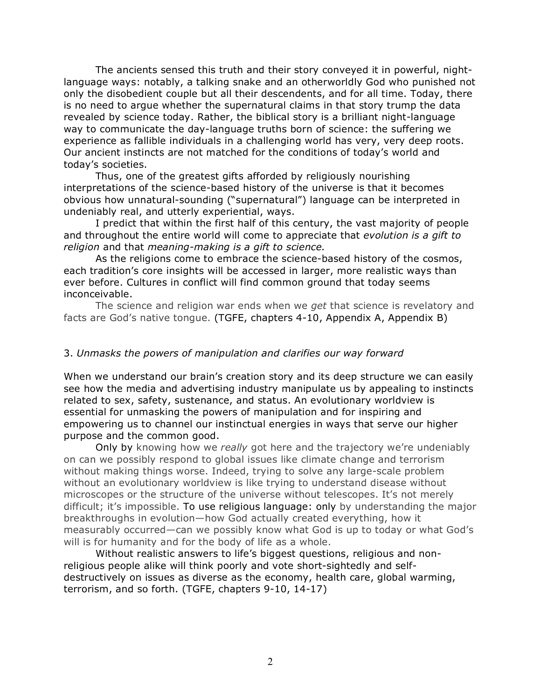The ancients sensed this truth and their story conveyed it in powerful, nightlanguage ways: notably, a talking snake and an otherworldly God who punished not only the disobedient couple but all their descendents, and for all time. Today, there is no need to argue whether the supernatural claims in that story trump the data revealed by science today. Rather, the biblical story is a brilliant night-language way to communicate the day-language truths born of science: the suffering we experience as fallible individuals in a challenging world has very, very deep roots. Our ancient instincts are not matched for the conditions of today's world and today's societies.

Thus, one of the greatest gifts afforded by religiously nourishing interpretations of the science-based history of the universe is that it becomes obvious how unnatural-sounding ("supernatural") language can be interpreted in undeniably real, and utterly experiential, ways.

I predict that within the first half of this century, the vast majority of people and throughout the entire world will come to appreciate that *evolution is a gift to religion* and that *meaning-making is a gift to science.*

As the religions come to embrace the science-based history of the cosmos, each tradition's core insights will be accessed in larger, more realistic ways than ever before. Cultures in conflict will find common ground that today seems inconceivable.

The science and religion war ends when we *get* that science is revelatory and facts are God's native tongue. (TGFE, chapters 4-10, Appendix A, Appendix B)

### 3. *Unmasks the powers of manipulation and clarifies our way forward*

When we understand our brain's creation story and its deep structure we can easily see how the media and advertising industry manipulate us by appealing to instincts related to sex, safety, sustenance, and status. An evolutionary worldview is essential for unmasking the powers of manipulation and for inspiring and empowering us to channel our instinctual energies in ways that serve our higher purpose and the common good.

Only by knowing how we *really* got here and the trajectory we're undeniably on can we possibly respond to global issues like climate change and terrorism without making things worse. Indeed, trying to solve any large-scale problem without an evolutionary worldview is like trying to understand disease without microscopes or the structure of the universe without telescopes. It's not merely difficult; it's impossible. To use religious language: only by understanding the major breakthroughs in evolution—how God actually created everything, how it measurably occurred—can we possibly know what God is up to today or what God's will is for humanity and for the body of life as a whole.

Without realistic answers to life's biggest questions, religious and nonreligious people alike will think poorly and vote short-sightedly and selfdestructively on issues as diverse as the economy, health care, global warming, terrorism, and so forth. (TGFE, chapters 9-10, 14-17)